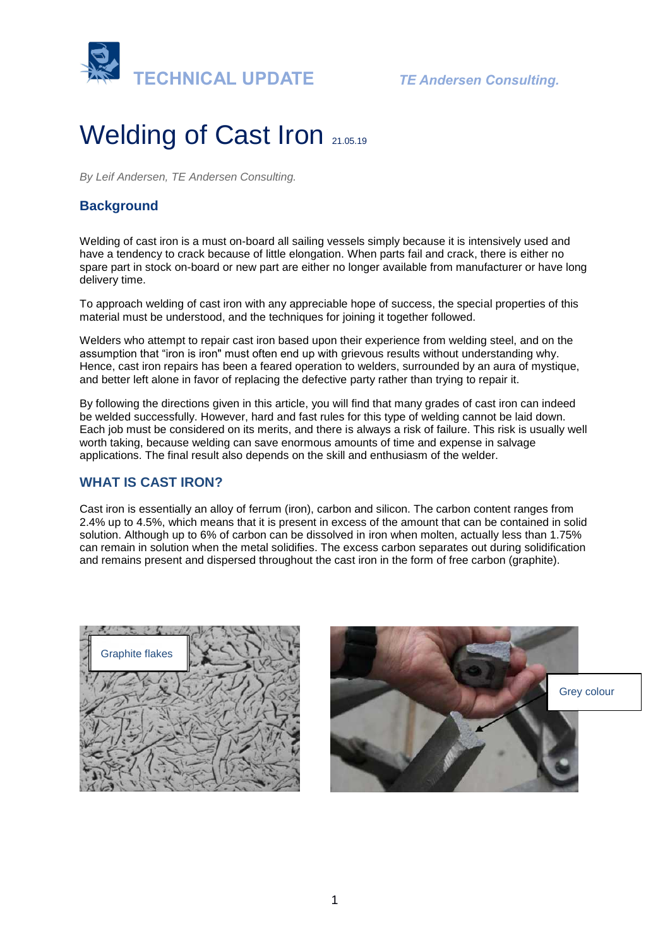

# Welding of Cast Iron 21.05.19

*By Leif Andersen, TE Andersen Consulting.* 

# **Background**

Welding of cast iron is a must on-board all sailing vessels simply because it is intensively used and have a tendency to crack because of little elongation. When parts fail and crack, there is either no spare part in stock on-board or new part are either no longer available from manufacturer or have long delivery time.

To approach welding of cast iron with any appreciable hope of success, the special properties of this material must be understood, and the techniques for joining it together followed.

Welders who attempt to repair cast iron based upon their experience from welding steel, and on the assumption that "iron is iron" must often end up with grievous results without understanding why. Hence, cast iron repairs has been a feared operation to welders, surrounded by an aura of mystique, and better left alone in favor of replacing the defective party rather than trying to repair it.

By following the directions given in this article, you will find that many grades of cast iron can indeed be welded successfully. However, hard and fast rules for this type of welding cannot be laid down. Each job must be considered on its merits, and there is always a risk of failure. This risk is usually well worth taking, because welding can save enormous amounts of time and expense in salvage applications. The final result also depends on the skill and enthusiasm of the welder.

## **WHAT IS CAST IRON?**

Cast iron is essentially an alloy of ferrum (iron), carbon and silicon. The carbon content ranges from 2.4% up to 4.5%, which means that it is present in excess of the amount that can be contained in solid solution. Although up to 6% of carbon can be dissolved in iron when molten, actually less than 1.75% can remain in solution when the metal solidifies. The excess carbon separates out during solidification and remains present and dispersed throughout the cast iron in the form of free carbon (graphite).



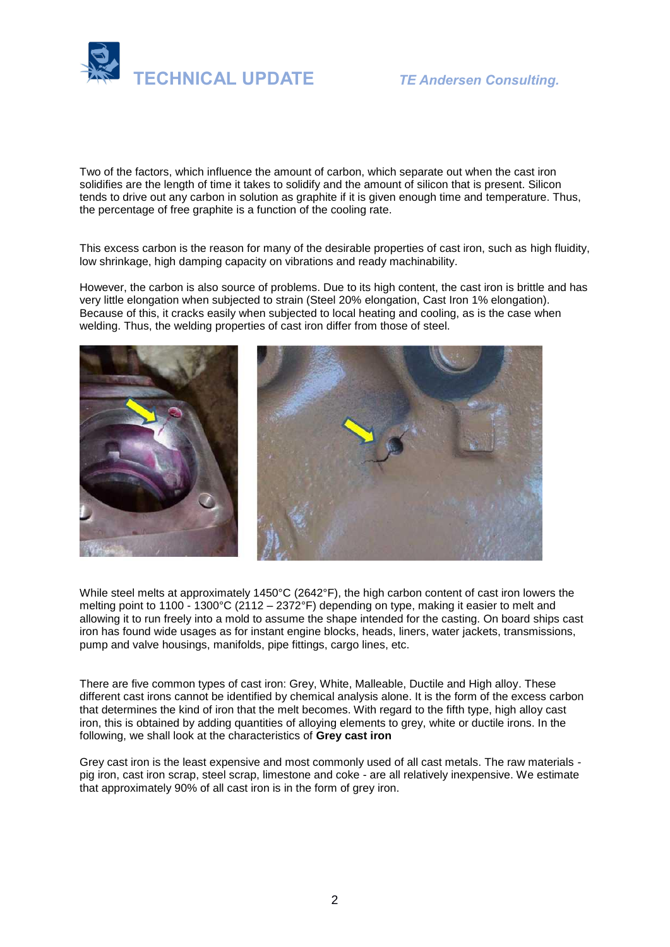

Two of the factors, which influence the amount of carbon, which separate out when the cast iron solidifies are the length of time it takes to solidify and the amount of silicon that is present. Silicon tends to drive out any carbon in solution as graphite if it is given enough time and temperature. Thus, the percentage of free graphite is a function of the cooling rate.

This excess carbon is the reason for many of the desirable properties of cast iron, such as high fluidity, low shrinkage, high damping capacity on vibrations and ready machinability.

However, the carbon is also source of problems. Due to its high content, the cast iron is brittle and has very little elongation when subjected to strain (Steel 20% elongation, Cast Iron 1% elongation). Because of this, it cracks easily when subjected to local heating and cooling, as is the case when welding. Thus, the welding properties of cast iron differ from those of steel.



While steel melts at approximately 1450°C (2642°F), the high carbon content of cast iron lowers the melting point to 1100 - 1300°C (2112 – 2372°F) depending on type, making it easier to melt and allowing it to run freely into a mold to assume the shape intended for the casting. On board ships cast iron has found wide usages as for instant engine blocks, heads, liners, water jackets, transmissions, pump and valve housings, manifolds, pipe fittings, cargo lines, etc.

There are five common types of cast iron: Grey, White, Malleable, Ductile and High alloy. These different cast irons cannot be identified by chemical analysis alone. It is the form of the excess carbon that determines the kind of iron that the melt becomes. With regard to the fifth type, high alloy cast iron, this is obtained by adding quantities of alloying elements to grey, white or ductile irons. In the following, we shall look at the characteristics of **Grey cast iron**

Grey cast iron is the least expensive and most commonly used of all cast metals. The raw materials pig iron, cast iron scrap, steel scrap, limestone and coke - are all relatively inexpensive. We estimate that approximately 90% of all cast iron is in the form of grey iron.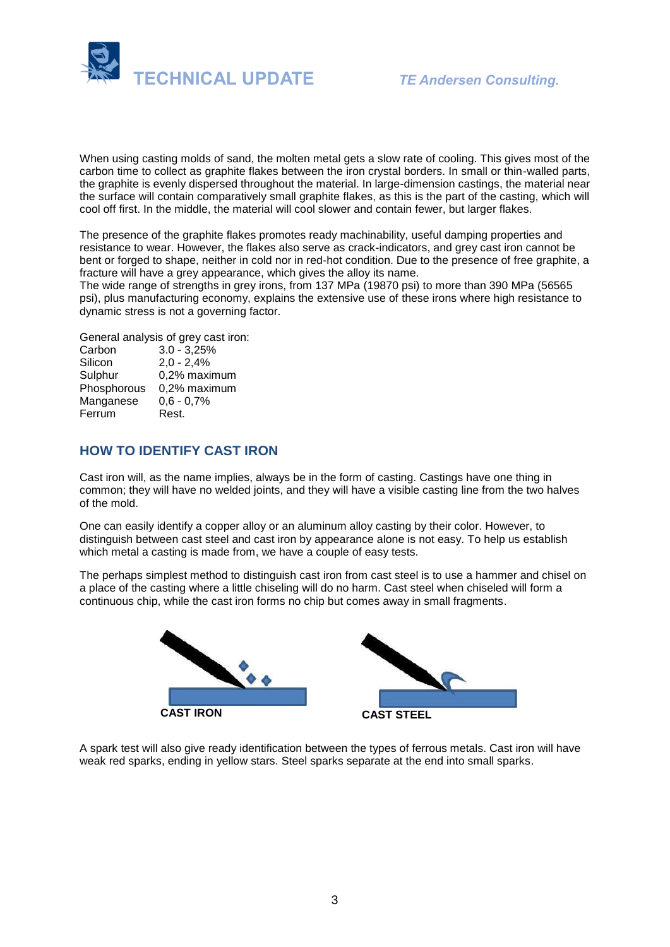

When using casting molds of sand, the molten metal gets a slow rate of cooling. This gives most of the carbon time to collect as graphite flakes between the iron crystal borders. In small or thin-walled parts, the graphite is evenly dispersed throughout the material. In large-dimension castings, the material near the surface will contain comparatively small graphite flakes, as this is the part of the casting, which will cool off first. In the middle, the material will cool slower and contain fewer, but larger flakes.

The presence of the graphite flakes promotes ready machinability, useful damping properties and resistance to wear. However, the flakes also serve as crack-indicators, and grey cast iron cannot be bent or forged to shape, neither in cold nor in red-hot condition. Due to the presence of free graphite, a fracture will have a grey appearance, which gives the alloy its name.

The wide range of strengths in grey irons, from 137 MPa (19870 psi) to more than 390 MPa (56565 psi), plus manufacturing economy, explains the extensive use of these irons where high resistance to dynamic stress is not a governing factor.

General analysis of grey cast iron:

| Carbon      | $3.0 - 3,25%$ |
|-------------|---------------|
| Silicon     | $2,0 - 2,4%$  |
| Sulphur     | 0,2% maximum  |
| Phosphorous | 0,2% maximum  |
| Manganese   | $0,6 - 0,7%$  |
| Ferrum      | Rest.         |

## **HOW TO IDENTIFY CAST IRON**

Cast iron will, as the name implies, always be in the form of casting. Castings have one thing in common; they will have no welded joints, and they will have a visible casting line from the two halves of the mold.

One can easily identify a copper alloy or an aluminum alloy casting by their color. However, to distinguish between cast steel and cast iron by appearance alone is not easy. To help us establish which metal a casting is made from, we have a couple of easy tests.

The perhaps simplest method to distinguish cast iron from cast steel is to use a hammer and chisel on a place of the casting where a little chiseling will do no harm. Cast steel when chiseled will form a continuous chip, while the cast iron forms no chip but comes away in small fragments.



A spark test will also give ready identification between the types of ferrous metals. Cast iron will have weak red sparks, ending in yellow stars. Steel sparks separate at the end into small sparks.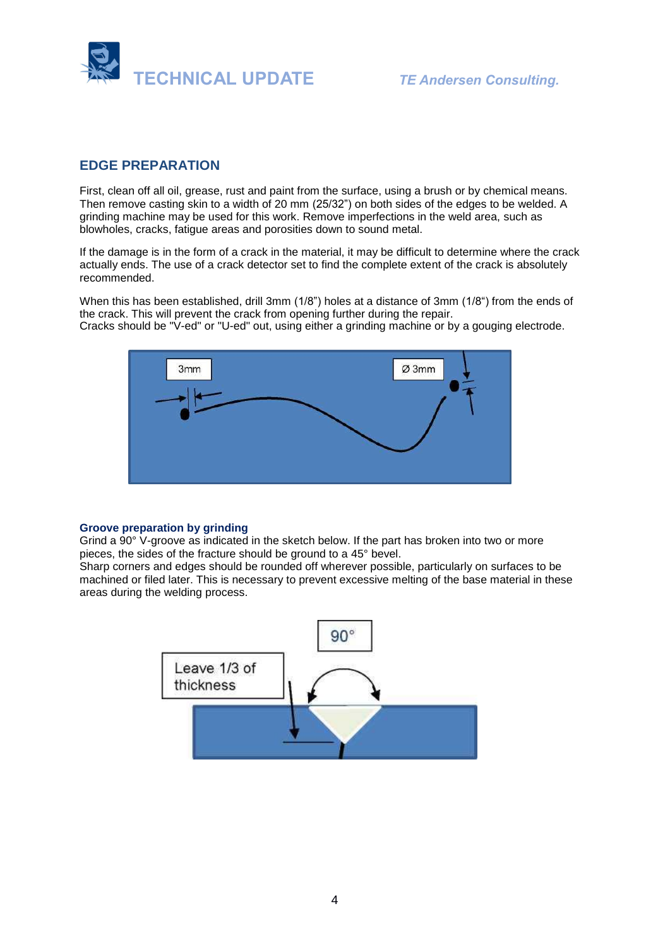

## **EDGE PREPARATION**

First, clean off all oil, grease, rust and paint from the surface, using a brush or by chemical means. Then remove casting skin to a width of 20 mm (25/32") on both sides of the edges to be welded. A grinding machine may be used for this work. Remove imperfections in the weld area, such as blowholes, cracks, fatigue areas and porosities down to sound metal.

If the damage is in the form of a crack in the material, it may be difficult to determine where the crack actually ends. The use of a crack detector set to find the complete extent of the crack is absolutely recommended.

When this has been established, drill 3mm (1/8") holes at a distance of 3mm (1/8") from the ends of the crack. This will prevent the crack from opening further during the repair. Cracks should be "V-ed" or "U-ed" out, using either a grinding machine or by a gouging electrode.



#### **Groove preparation by grinding**

Grind a 90° V-groove as indicated in the sketch below. If the part has broken into two or more pieces, the sides of the fracture should be ground to a 45° bevel.

Sharp corners and edges should be rounded off wherever possible, particularly on surfaces to be machined or filed later. This is necessary to prevent excessive melting of the base material in these areas during the welding process.

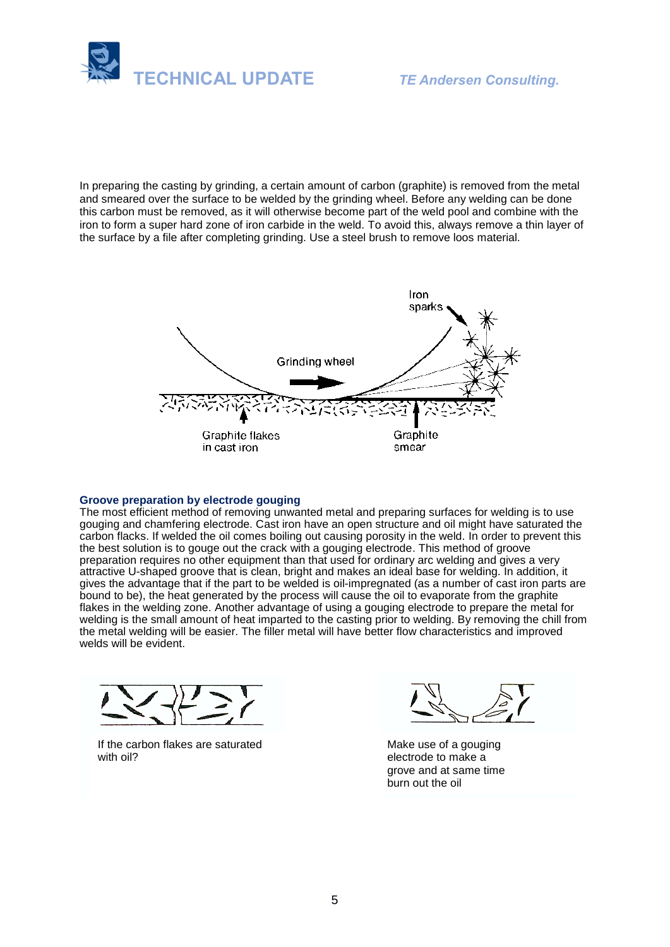

In preparing the casting by grinding, a certain amount of carbon (graphite) is removed from the metal and smeared over the surface to be welded by the grinding wheel. Before any welding can be done this carbon must be removed, as it will otherwise become part of the weld pool and combine with the iron to form a super hard zone of iron carbide in the weld. To avoid this, always remove a thin layer of the surface by a file after completing grinding. Use a steel brush to remove loos material.



#### **Groove preparation by electrode gouging**

The most efficient method of removing unwanted metal and preparing surfaces for welding is to use gouging and chamfering electrode. Cast iron have an open structure and oil might have saturated the carbon flacks. If welded the oil comes boiling out causing porosity in the weld. In order to prevent this the best solution is to gouge out the crack with a gouging electrode. This method of groove preparation requires no other equipment than that used for ordinary arc welding and gives a very attractive U-shaped groove that is clean, bright and makes an ideal base for welding. In addition, it gives the advantage that if the part to be welded is oil-impregnated (as a number of cast iron parts are bound to be), the heat generated by the process will cause the oil to evaporate from the graphite flakes in the welding zone. Another advantage of using a gouging electrode to prepare the metal for welding is the small amount of heat imparted to the casting prior to welding. By removing the chill from the metal welding will be easier. The filler metal will have better flow characteristics and improved welds will be evident.



If the carbon flakes are saturated with oil?

Make use of a gouging electrode to make a grove and at same time burn out the oil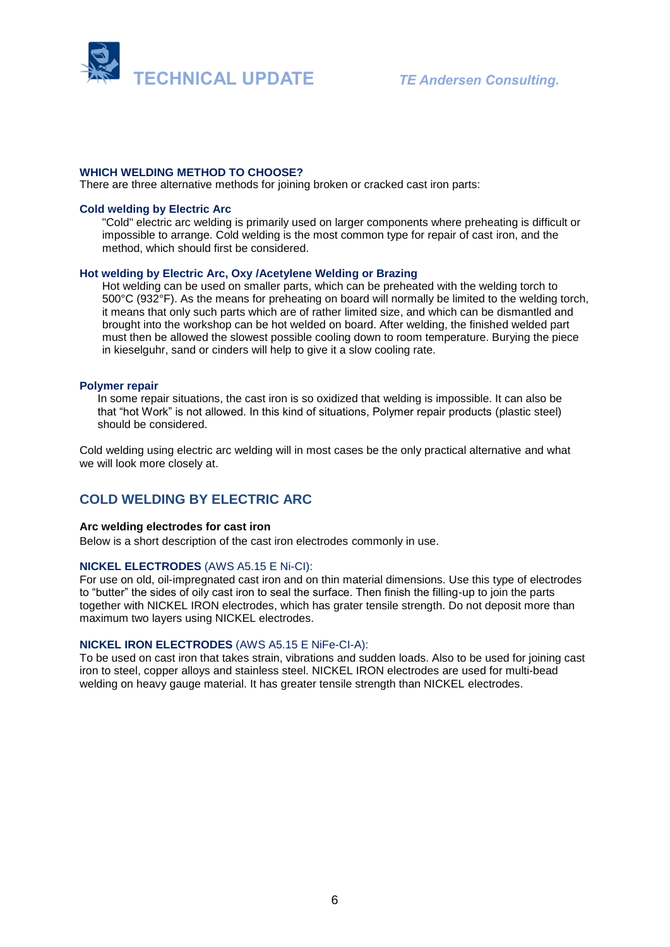

#### **WHICH WELDING METHOD TO CHOOSE?**

There are three alternative methods for joining broken or cracked cast iron parts:

#### **Cold welding by Electric Arc**

"Cold" electric arc welding is primarily used on larger components where preheating is difficult or impossible to arrange. Cold welding is the most common type for repair of cast iron, and the method, which should first be considered.

#### **Hot welding by Electric Arc, Oxy /Acetylene Welding or Brazing**

Hot welding can be used on smaller parts, which can be preheated with the welding torch to 500°C (932°F). As the means for preheating on board will normally be limited to the welding torch, it means that only such parts which are of rather limited size, and which can be dismantled and brought into the workshop can be hot welded on board. After welding, the finished welded part must then be allowed the slowest possible cooling down to room temperature. Burying the piece in kieselguhr, sand or cinders will help to give it a slow cooling rate.

#### **Polymer repair**

In some repair situations, the cast iron is so oxidized that welding is impossible. It can also be that "hot Work" is not allowed. In this kind of situations, Polymer repair products (plastic steel) should be considered.

Cold welding using electric arc welding will in most cases be the only practical alternative and what we will look more closely at.

## **COLD WELDING BY ELECTRIC ARC**

#### **Arc welding electrodes for cast iron**

Below is a short description of the cast iron electrodes commonly in use.

#### **NICKEL ELECTRODES** (AWS A5.15 E Ni-CI):

For use on old, oil-impregnated cast iron and on thin material dimensions. Use this type of electrodes to "butter" the sides of oily cast iron to seal the surface. Then finish the filling-up to join the parts together with NICKEL IRON electrodes, which has grater tensile strength. Do not deposit more than maximum two layers using NICKEL electrodes.

#### **NICKEL IRON ELECTRODES** (AWS A5.15 E NiFe-CI-A):

To be used on cast iron that takes strain, vibrations and sudden loads. Also to be used for joining cast iron to steel, copper alloys and stainless steel. NICKEL IRON electrodes are used for multi-bead welding on heavy gauge material. It has greater tensile strength than NICKEL electrodes.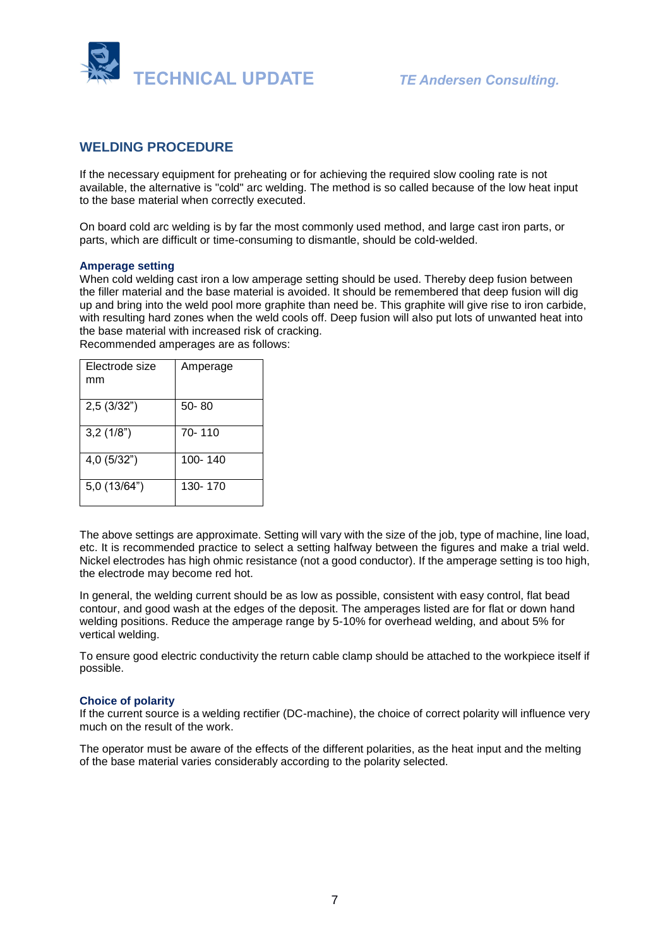

## **WELDING PROCEDURE**

If the necessary equipment for preheating or for achieving the required slow cooling rate is not available, the alternative is "cold" arc welding. The method is so called because of the low heat input to the base material when correctly executed.

On board cold arc welding is by far the most commonly used method, and large cast iron parts, or parts, which are difficult or time-consuming to dismantle, should be cold-welded.

#### **Amperage setting**

When cold welding cast iron a low amperage setting should be used. Thereby deep fusion between the filler material and the base material is avoided. It should be remembered that deep fusion will dig up and bring into the weld pool more graphite than need be. This graphite will give rise to iron carbide, with resulting hard zones when the weld cools off. Deep fusion will also put lots of unwanted heat into the base material with increased risk of cracking.

Recommended amperages are as follows:

| Electrode size<br>mm | Amperage  |
|----------------------|-----------|
| 2,5(3/32")           | $50 - 80$ |
| 3,2(1/8")            | 70-110    |
| 4,0 (5/32")          | 100-140   |
| 5,0(13/64")          | 130-170   |

The above settings are approximate. Setting will vary with the size of the job, type of machine, line load, etc. It is recommended practice to select a setting halfway between the figures and make a trial weld. Nickel electrodes has high ohmic resistance (not a good conductor). If the amperage setting is too high, the electrode may become red hot.

In general, the welding current should be as low as possible, consistent with easy control, flat bead contour, and good wash at the edges of the deposit. The amperages listed are for flat or down hand welding positions. Reduce the amperage range by 5-10% for overhead welding, and about 5% for vertical welding.

To ensure good electric conductivity the return cable clamp should be attached to the workpiece itself if possible.

#### **Choice of polarity**

If the current source is a welding rectifier (DC-machine), the choice of correct polarity will influence very much on the result of the work.

The operator must be aware of the effects of the different polarities, as the heat input and the melting of the base material varies considerably according to the polarity selected.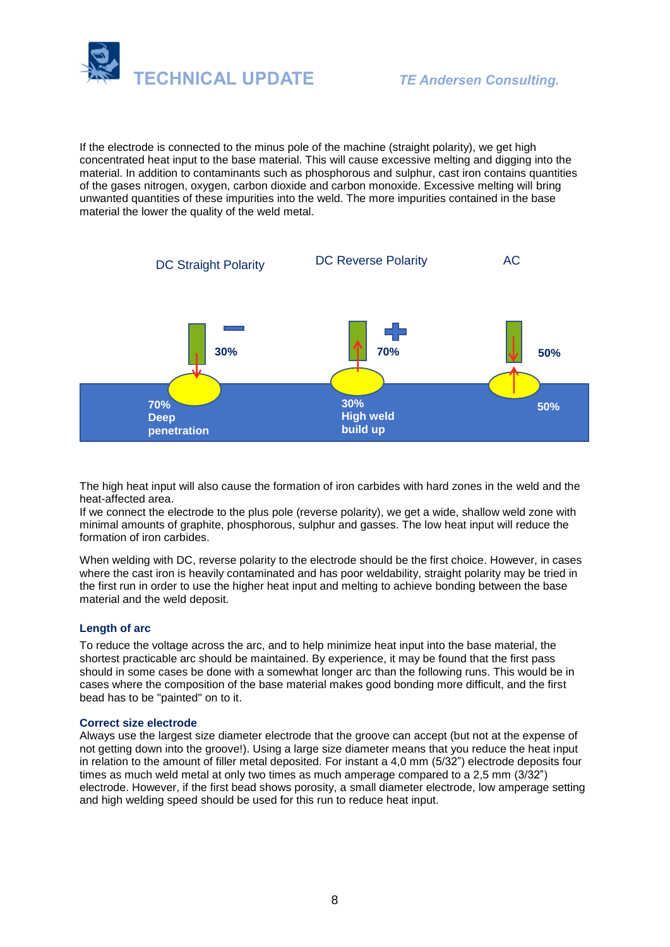

If the electrode is connected to the minus pole of the machine (straight polarity), we get high concentrated heat input to the base material. This will cause excessive melting and digging into the material. In addition to contaminants such as phosphorous and sulphur, cast iron contains quantities of the gases nitrogen, oxygen, carbon dioxide and carbon monoxide. Excessive melting will bring unwanted quantities of these impurities into the weld. The more impurities contained in the base material the lower the quality of the weld metal.



The high heat input will also cause the formation of iron carbides with hard zones in the weld and the heat-affected area.

If we connect the electrode to the plus pole (reverse polarity), we get a wide, shallow weld zone with minimal amounts of graphite, phosphorous, sulphur and gasses. The low heat input will reduce the formation of iron carbides.

When welding with DC, reverse polarity to the electrode should be the first choice. However, in cases where the cast iron is heavily contaminated and has poor weldability, straight polarity may be tried in the first run in order to use the higher heat input and melting to achieve bonding between the base material and the weld deposit.

### **Length of arc**

To reduce the voltage across the arc, and to help minimize heat input into the base material, the shortest practicable arc should be maintained. By experience, it may be found that the first pass should in some cases be done with a somewhat longer arc than the following runs. This would be in cases where the composition of the base material makes good bonding more difficult, and the first bead has to be "painted" on to it.

#### **Correct size electrode**

Always use the largest size diameter electrode that the groove can accept (but not at the expense of not getting down into the groove!). Using a large size diameter means that you reduce the heat input in relation to the amount of filler metal deposited. For instant a 4,0 mm (5/32") electrode deposits four times as much weld metal at only two times as much amperage compared to a 2,5 mm (3/32") electrode. However, if the first bead shows porosity, a small diameter electrode, low amperage setting and high welding speed should be used for this run to reduce heat input.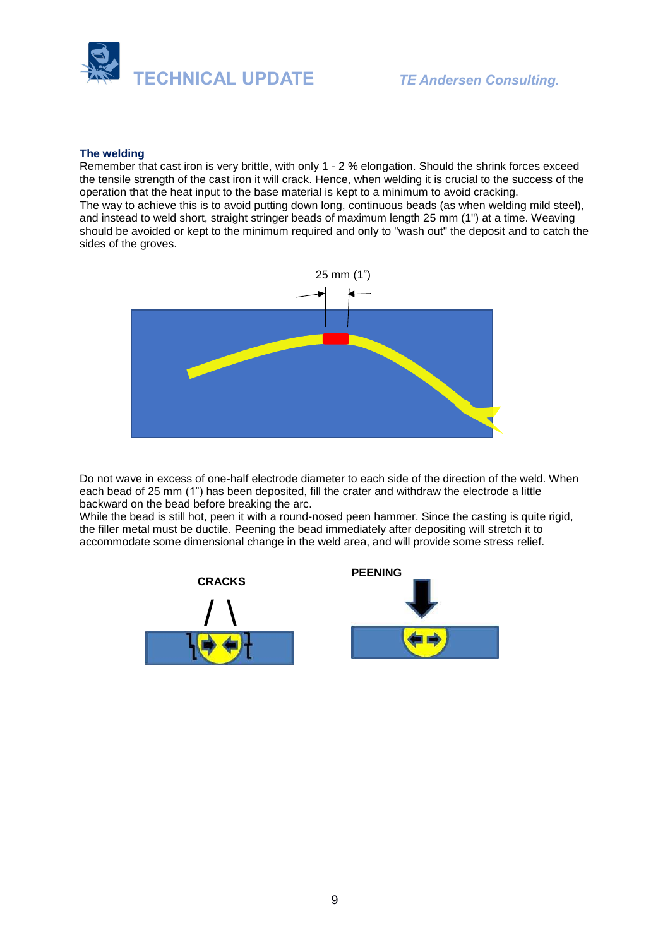

#### **The welding**

Remember that cast iron is very brittle, with only 1 - 2 % elongation. Should the shrink forces exceed the tensile strength of the cast iron it will crack. Hence, when welding it is crucial to the success of the operation that the heat input to the base material is kept to a minimum to avoid cracking. The way to achieve this is to avoid putting down long, continuous beads (as when welding mild steel), and instead to weld short, straight stringer beads of maximum length 25 mm (1") at a time. Weaving should be avoided or kept to the minimum required and only to "wash out" the deposit and to catch the sides of the groves.



Do not wave in excess of one-half electrode diameter to each side of the direction of the weld. When each bead of 25 mm (1") has been deposited, fill the crater and withdraw the electrode a little backward on the bead before breaking the arc.

While the bead is still hot, peen it with a round-nosed peen hammer. Since the casting is quite rigid, the filler metal must be ductile. Peening the bead immediately after depositing will stretch it to accommodate some dimensional change in the weld area, and will provide some stress relief.



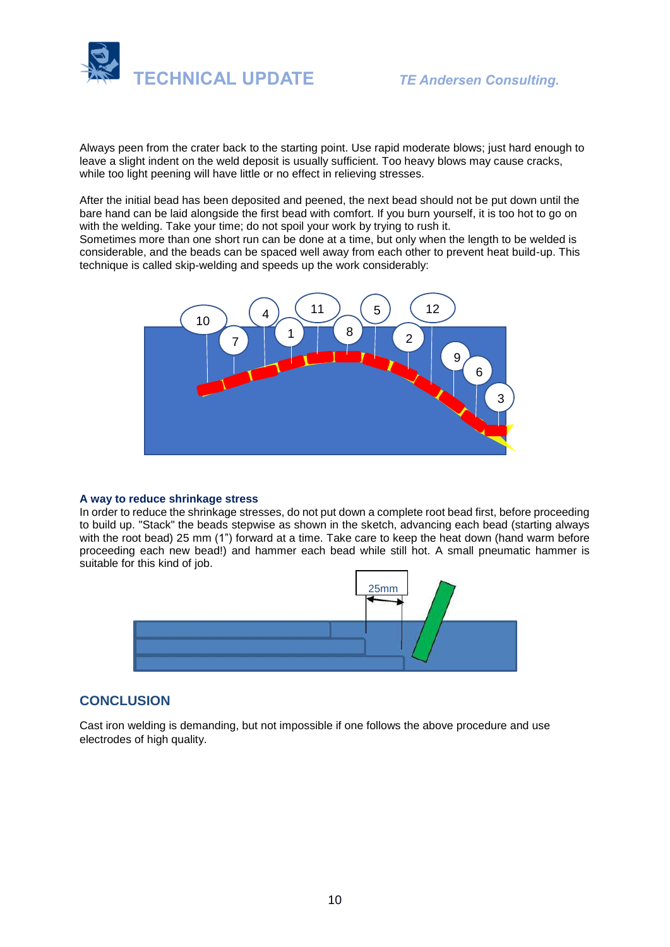

Always peen from the crater back to the starting point. Use rapid moderate blows; just hard enough to leave a slight indent on the weld deposit is usually sufficient. Too heavy blows may cause cracks, while too light peening will have little or no effect in relieving stresses.

After the initial bead has been deposited and peened, the next bead should not be put down until the bare hand can be laid alongside the first bead with comfort. If you burn yourself, it is too hot to go on with the welding. Take your time; do not spoil your work by trying to rush it.

Sometimes more than one short run can be done at a time, but only when the length to be welded is considerable, and the beads can be spaced well away from each other to prevent heat build-up. This technique is called skip-welding and speeds up the work considerably:



#### **A way to reduce shrinkage stress**

In order to reduce the shrinkage stresses, do not put down a complete root bead first, before proceeding to build up. "Stack" the beads stepwise as shown in the sketch, advancing each bead (starting always with the root bead) 25 mm (1") forward at a time. Take care to keep the heat down (hand warm before proceeding each new bead!) and hammer each bead while still hot. A small pneumatic hammer is suitable for this kind of job.



## **CONCLUSION**

Cast iron welding is demanding, but not impossible if one follows the above procedure and use electrodes of high quality.